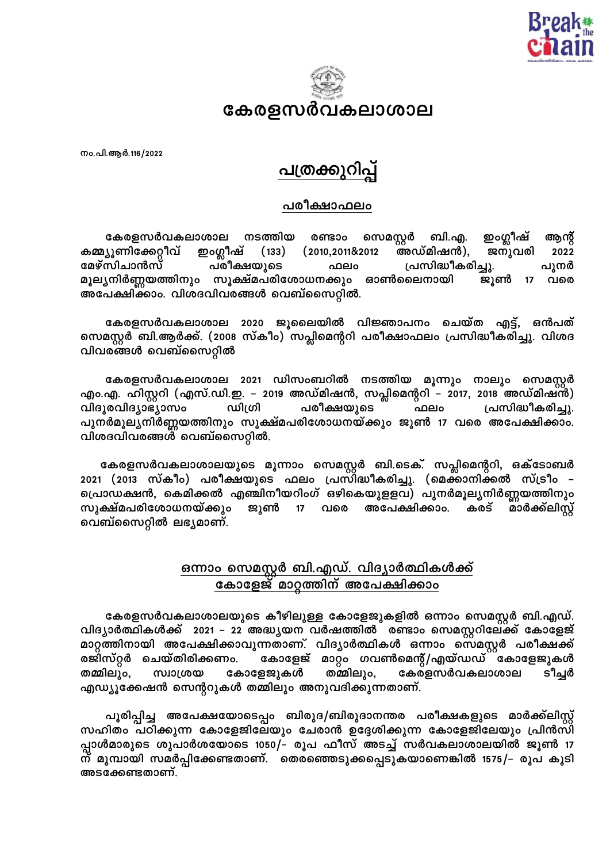



നം.പി.ആർ.116/2022

## <u>പത്രക്കുറിപ</u>

## പരീക്ഷാഫലം

കേരളസർവകലാശാല നടത്തിയ ഇംഗ്ലീഷ് രണ്ടാം സെമസ്റ്റർ ബി.എ. ആന്റ ഇംഗ്ലീഷ് കമ്മ്യൂണിക്കേറ്റീവ്  $(133)$  $(2010, 201182012)$ അഡ്മിഷൻ), ജനുവരി 2022 മേഴ്സിചാൻസ് പരീക്ഷയുടെ പ്രസിദ്ധീകരിച്ചു. ഫലം പൂനർ മൂല്യനിർണ്ണയത്തിനും സൂക്ഷ്മപരിശോധനക്കും ഓൺലൈനായി ജൂൺ 17 വരെ അപേക്ഷിക്കാം. വിശദവിവരങ്ങൾ വെബ്സൈറ്റിൽ.

കേരളസർവകലാശാല 2020 ജൂലൈയിൽ വിജ്ഞാപനം ചെയ്ത എട്ട്, ഒൻപത് സെമസ്റ്റർ ബി.ആർക്ക്. (2008 സ്കീം) സപ്ലിമെന്ററി പരീക്ഷാഫലം പ്രസിദ്ധീകരിച്ചു. വിശദ വിവരങ്ങൾ വെബ്സൈറ്റിൽ

കേരളസർവകലാശാല 2021 ഡിസംബറിൽ നടത്തിയ മൂന്നും നാലും സെമസ്റ്റർ എം.എ. ഹിസ്റ്ററി (എസ്.ഡി.ഇ. – 2019 അഡ്മിഷൻ, സപ്ലിമെന്ററി – 2017, 2018 അഡ്മിഷൻ) ഫലം വിദൂരവിദ്യാഭ്യാസം ഡിഗ്രി പരീക്ഷയുടെ പ്രസിദ്ധീകരിച്ചു. പുനർമൂല്യനിർണ്ണയത്തിനും സൂക്ഷ്മപരിശോധനയ്ക്കും ജൂൺ 17 വരെ അപേക്ഷിക്കാം. വിശദവിവരങ്ങൾ വെബ്സൈറ്റിൽ.

കേരളസർവകലാശാലയുടെ മൂന്നാം സെമസ്റ്റർ ബി.ടെക്. സപ്ലിമെന്ററി, ഒക്ടോബർ 2021 (2013 സ്കീം) പരീക്ഷയുടെ ഫലം പ്രസ്ിദ്ധീകരിച്ചു. (മെക്്ാനിക്കൽ സ്ട്രീം – പ്രൊഡക്ഷൻ, കെമിക്കൽ എഞ്ചിനീയറിംഗ് ഒഴികെയുളളവ) പുനർമൂലൃനിർണ്ണയത്തിനും സൂക്ഷ്മപരിശോധനയ്ക്കും അപേക്ഷിക്കാം. മാർക്ക്ലിസ്റ്റ് ജൂൺ  $17$ വരെ കരട് വെബ്സൈറ്റിൽ ലഭ്യമാണ്.

## <u>ഒന്നാം സെമസ്റ്റർ ബി.എഡ്. വിദ്യാർത്ഥികൾക്ക്</u><br>കോളേജ് മാറ്റത്തിന് അപേക്ഷിക്കാം

കേരളസർവകലാശാലയുടെ കീഴിലുള്ള കോളേജുകളിൽ ഒന്നാം സെമസ്റ്റർ ബി.എഡ്. വിദ്യാർത്ഥികൾക്ക് 2021 – 22 അദ്ധ്യയന വർഷത്തിൽ രണ്ടാം സെമസ്റ്ററിലേക്ക് കോളേജ് മാറ്റത്തിനായി അപേക്ഷിക്കാവുന്നതാണ്. വിദ്യാർത്ഥികൾ ഒന്നാം സെമസ്റ്റർ പരീക്ഷക്ക് കോളേജ് മാറ്റം ഗവൺമെന്റ്/എയ്ഡഡ് കോളേജുകൾ രജിസ്റ്റർ ചെയ്തിരിക്കണം. തമ്മിലും, കോളേജുകൾ കേരളസർവകലാശാല തമ്മിലും, യത്വാന്ത്ര ടീച്ചർ എഡ്യൂക്കേഷൻ സെന്ററുകൾ തമ്മിലും അനുവദിക്കുന്നതാണ്.

പൂരിപ്പിച്ച അപേക്ഷയോടെപ്പം ബിരുദ/ബിരുദാനന്തര പരീക്ഷകളുടെ മാർക്ക്ലിസ്റ്റ് സഹിതം പഠിക്കുന്ന കോളേജിലേയും ചേരാൻ ഉദ്ദേശിക്കുന്ന കോളേജിലേയും പ്രിൻസി പ്പാൾമാരുടെ ശുപാർശയോടെ 1050/– രൂപ ഫീസ് അടച്ച് സർവകലാശാലയിൽ ജൂൺ 17 ന് മുമ്പായി സമർപ്പിക്കേണ്ടതാണ്. തെരഞ്ഞെടുക്കപ്പെടുകയാണെങ്കിൽ 1575/– രൂപ കൂടി അടക്കേണ്ടതാണ്.